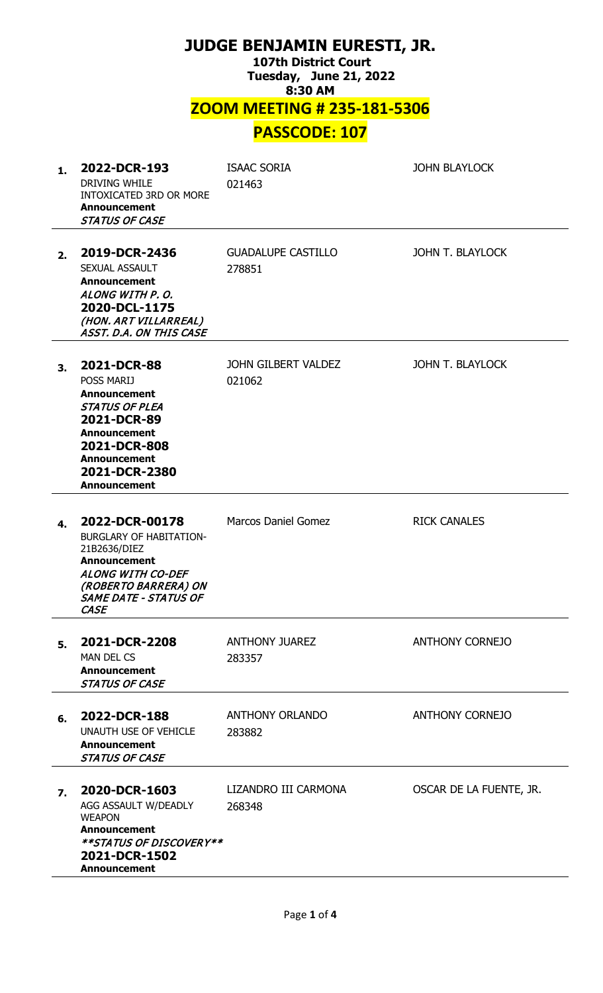| JUDGE BENJAMIN EURESTI, JR.<br><b>107th District Court</b><br><b>Tuesday, June 21, 2022</b><br>8:30 AM |                                                                                                                                                                                                |                                     |                         |  |  |  |  |
|--------------------------------------------------------------------------------------------------------|------------------------------------------------------------------------------------------------------------------------------------------------------------------------------------------------|-------------------------------------|-------------------------|--|--|--|--|
| <b>ZOOM MEETING # 235-181-5306</b><br><b>PASSCODE: 107</b>                                             |                                                                                                                                                                                                |                                     |                         |  |  |  |  |
|                                                                                                        |                                                                                                                                                                                                |                                     |                         |  |  |  |  |
| 1.                                                                                                     | 2022-DCR-193<br><b>DRIVING WHILE</b><br>INTOXICATED 3RD OR MORE<br><b>Announcement</b><br><b>STATUS OF CASE</b>                                                                                | <b>ISAAC SORIA</b><br>021463        | <b>JOHN BLAYLOCK</b>    |  |  |  |  |
| 2.                                                                                                     | 2019-DCR-2436<br>SEXUAL ASSAULT<br><b>Announcement</b><br>ALONG WITH P.O.<br>2020-DCL-1175<br>(HON. ART VILLARREAL)<br>ASST. D.A. ON THIS CASE                                                 | <b>GUADALUPE CASTILLO</b><br>278851 | JOHN T. BLAYLOCK        |  |  |  |  |
| 3.                                                                                                     | 2021-DCR-88<br><b>POSS MARIJ</b><br><b>Announcement</b><br>STATUS OF PLEA<br>2021-DCR-89<br><b>Announcement</b><br>2021-DCR-808<br><b>Announcement</b><br>2021-DCR-2380<br><b>Announcement</b> | JOHN GILBERT VALDEZ<br>021062       | JOHN T. BLAYLOCK        |  |  |  |  |
| 4.                                                                                                     | 2022-DCR-00178<br><b>BURGLARY OF HABITATION-</b><br>21B2636/DIEZ<br><b>Announcement</b><br><b>ALONG WITH CO-DEF</b><br>(ROBERTO BARRERA) ON<br><b>SAME DATE - STATUS OF</b><br><b>CASE</b>     | <b>Marcos Daniel Gomez</b>          | <b>RICK CANALES</b>     |  |  |  |  |
| 5.                                                                                                     | 2021-DCR-2208<br><b>MAN DEL CS</b><br><b>Announcement</b><br><b>STATUS OF CASE</b>                                                                                                             | <b>ANTHONY JUAREZ</b><br>283357     | <b>ANTHONY CORNEJO</b>  |  |  |  |  |
| 6.                                                                                                     | 2022-DCR-188<br>UNAUTH USE OF VEHICLE<br><b>Announcement</b><br><b>STATUS OF CASE</b>                                                                                                          | <b>ANTHONY ORLANDO</b><br>283882    | <b>ANTHONY CORNEJO</b>  |  |  |  |  |
| 7.                                                                                                     | 2020-DCR-1603<br>AGG ASSAULT W/DEADLY<br><b>WEAPON</b><br><b>Announcement</b><br>**STATUS OF DISCOVERY**<br>2021-DCR-1502<br><b>Announcement</b>                                               | LIZANDRO III CARMONA<br>268348      | OSCAR DE LA FUENTE, JR. |  |  |  |  |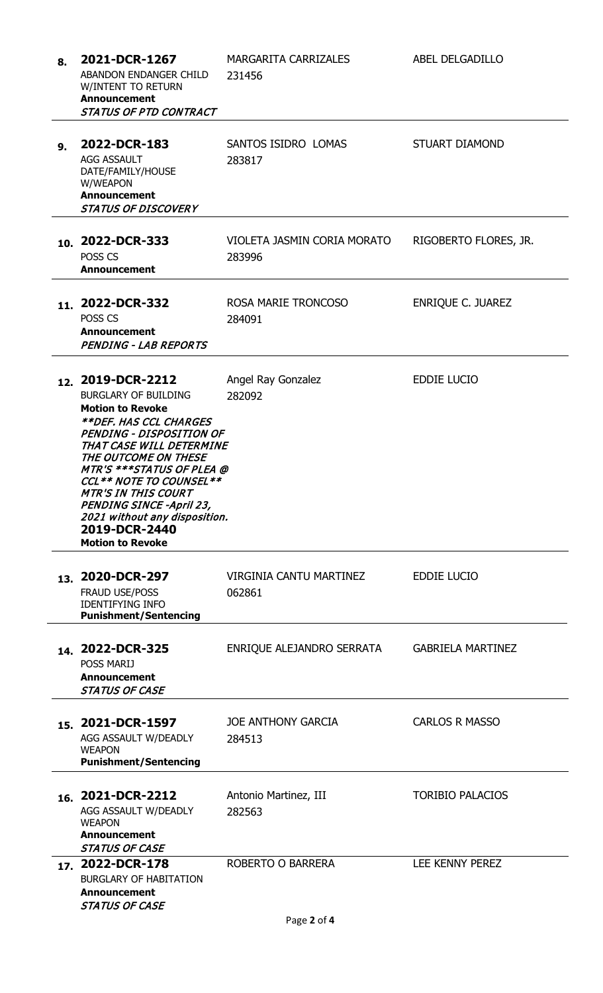| 8. | 2021-DCR-1267<br>ABANDON ENDANGER CHILD<br>W/INTENT TO RETURN<br><b>Announcement</b><br><b>STATUS OF PTD CONTRACT</b>                                                                                                                                                                                                                                                                                                     | <b>MARGARITA CARRIZALES</b><br>231456    | ABEL DELGADILLO          |
|----|---------------------------------------------------------------------------------------------------------------------------------------------------------------------------------------------------------------------------------------------------------------------------------------------------------------------------------------------------------------------------------------------------------------------------|------------------------------------------|--------------------------|
| 9. | 2022-DCR-183<br>AGG ASSAULT<br>DATE/FAMILY/HOUSE<br>W/WEAPON<br><b>Announcement</b><br><b>STATUS OF DISCOVERY</b>                                                                                                                                                                                                                                                                                                         | SANTOS ISIDRO LOMAS<br>283817            | <b>STUART DIAMOND</b>    |
|    | 10. 2022-DCR-333<br>POSS <sub>CS</sub><br><b>Announcement</b>                                                                                                                                                                                                                                                                                                                                                             | VIOLETA JASMIN CORIA MORATO<br>283996    | RIGOBERTO FLORES, JR.    |
|    | 11. 2022-DCR-332<br>POSS CS<br><b>Announcement</b><br><b>PENDING - LAB REPORTS</b>                                                                                                                                                                                                                                                                                                                                        | ROSA MARIE TRONCOSO<br>284091            | <b>ENRIQUE C. JUAREZ</b> |
|    | 12. 2019-DCR-2212<br><b>BURGLARY OF BUILDING</b><br><b>Motion to Revoke</b><br><i><b>**DEF. HAS CCL CHARGES</b></i><br><b>PENDING - DISPOSITION OF</b><br>THAT CASE WILL DETERMINE<br>THE OUTCOME ON THESE<br><b>MTR'S ***STATUS OF PLEA @</b><br>CCL ** NOTE TO COUNSEL **<br><b>MTR'S IN THIS COURT</b><br><b>PENDING SINCE -April 23,</b><br>2021 without any disposition.<br>2019-DCR-2440<br><b>Motion to Revoke</b> | Angel Ray Gonzalez<br>282092             | <b>EDDIE LUCIO</b>       |
|    | 13. 2020-DCR-297<br><b>FRAUD USE/POSS</b><br><b>IDENTIFYING INFO</b><br><b>Punishment/Sentencing</b>                                                                                                                                                                                                                                                                                                                      | <b>VIRGINIA CANTU MARTINEZ</b><br>062861 | <b>EDDIE LUCIO</b>       |
|    | 14 2022-DCR-325<br><b>POSS MARIJ</b><br><b>Announcement</b><br>STATUS OF CASE                                                                                                                                                                                                                                                                                                                                             | ENRIQUE ALEJANDRO SERRATA                | <b>GABRIELA MARTINEZ</b> |
|    | 15. 2021-DCR-1597<br>AGG ASSAULT W/DEADLY<br><b>WEAPON</b><br><b>Punishment/Sentencing</b>                                                                                                                                                                                                                                                                                                                                | <b>JOE ANTHONY GARCIA</b><br>284513      | <b>CARLOS R MASSO</b>    |
|    | 16. 2021-DCR-2212<br>AGG ASSAULT W/DEADLY<br><b>WEAPON</b><br><b>Announcement</b><br><b>STATUS OF CASE</b>                                                                                                                                                                                                                                                                                                                | Antonio Martinez, III<br>282563          | <b>TORIBIO PALACIOS</b>  |
|    | 17. 2022-DCR-178<br><b>BURGLARY OF HABITATION</b><br><b>Announcement</b><br><b>STATUS OF CASE</b>                                                                                                                                                                                                                                                                                                                         | ROBERTO O BARRERA                        | LEE KENNY PEREZ          |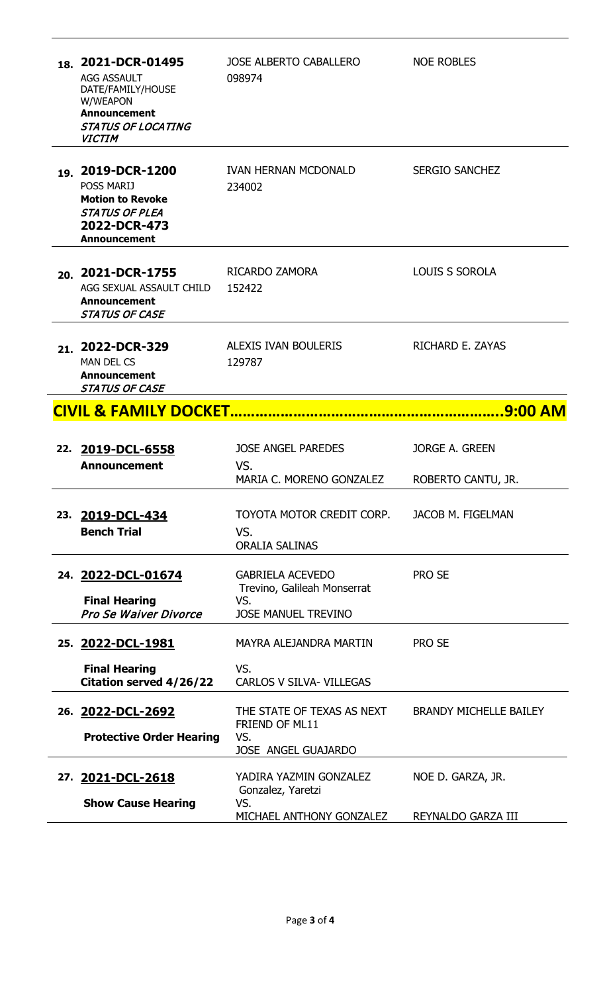| 18. 2021-DCR-01495<br><b>AGG ASSAULT</b><br>DATE/FAMILY/HOUSE<br>W/WEAPON<br><b>Announcement</b><br><b>STATUS OF LOCATING</b><br><b>VICTIM</b> | <b>JOSE ALBERTO CABALLERO</b><br>098974                                                     | <b>NOE ROBLES</b>             |  |  |
|------------------------------------------------------------------------------------------------------------------------------------------------|---------------------------------------------------------------------------------------------|-------------------------------|--|--|
| 19. 2019-DCR-1200<br><b>POSS MARIJ</b><br><b>Motion to Revoke</b><br><b>STATUS OF PLEA</b><br>2022-DCR-473<br><b>Announcement</b>              | <b>IVAN HERNAN MCDONALD</b><br>234002                                                       | <b>SERGIO SANCHEZ</b>         |  |  |
| 20. 2021-DCR-1755<br>AGG SEXUAL ASSAULT CHILD<br><b>Announcement</b><br><b>STATUS OF CASE</b>                                                  | RICARDO ZAMORA<br>152422                                                                    | <b>LOUIS S SOROLA</b>         |  |  |
| 21. 2022-DCR-329<br><b>MAN DEL CS</b><br><b>Announcement</b><br>STATUS OF CASE                                                                 | ALEXIS IVAN BOULERIS<br>129787                                                              | RICHARD E. ZAYAS              |  |  |
| <b>CIVIL &amp; FAMILY DOCKET</b>                                                                                                               |                                                                                             |                               |  |  |
| 22. 2019-DCL-6558<br><b>Announcement</b>                                                                                                       | <b>JOSE ANGEL PAREDES</b><br>VS.                                                            | <b>JORGE A. GREEN</b>         |  |  |
|                                                                                                                                                | MARIA C. MORENO GONZALEZ                                                                    | ROBERTO CANTU, JR.            |  |  |
| 23. 2019-DCL-434<br><b>Bench Trial</b>                                                                                                         | TOYOTA MOTOR CREDIT CORP.<br>VS.<br><b>ORALIA SALINAS</b>                                   | <b>JACOB M. FIGELMAN</b>      |  |  |
| 24. 2022-DCL-01674<br><b>Final Hearing</b><br>Pro Se Waiver Divorce                                                                            | <b>GABRIELA ACEVEDO</b><br>Trevino, Galileah Monserrat<br>VS.<br><b>JOSE MANUEL TREVINO</b> | <b>PRO SE</b>                 |  |  |
|                                                                                                                                                | MAYRA ALEJANDRA MARTIN                                                                      | <b>PRO SE</b>                 |  |  |
| 25. 2022-DCL-1981<br><b>Final Hearing</b><br>Citation served 4/26/22                                                                           | VS.<br><b>CARLOS V SILVA- VILLEGAS</b>                                                      |                               |  |  |
| 26. 2022-DCL-2692<br><b>Protective Order Hearing</b>                                                                                           | THE STATE OF TEXAS AS NEXT<br>FRIEND OF ML11<br>VS.<br><b>JOSE ANGEL GUAJARDO</b>           | <b>BRANDY MICHELLE BAILEY</b> |  |  |
| 27. 2021-DCL-2618<br><b>Show Cause Hearing</b>                                                                                                 | YADIRA YAZMIN GONZALEZ<br>Gonzalez, Yaretzi<br>VS.                                          | NOE D. GARZA, JR.             |  |  |
|                                                                                                                                                | MICHAEL ANTHONY GONZALEZ                                                                    | REYNALDO GARZA III            |  |  |